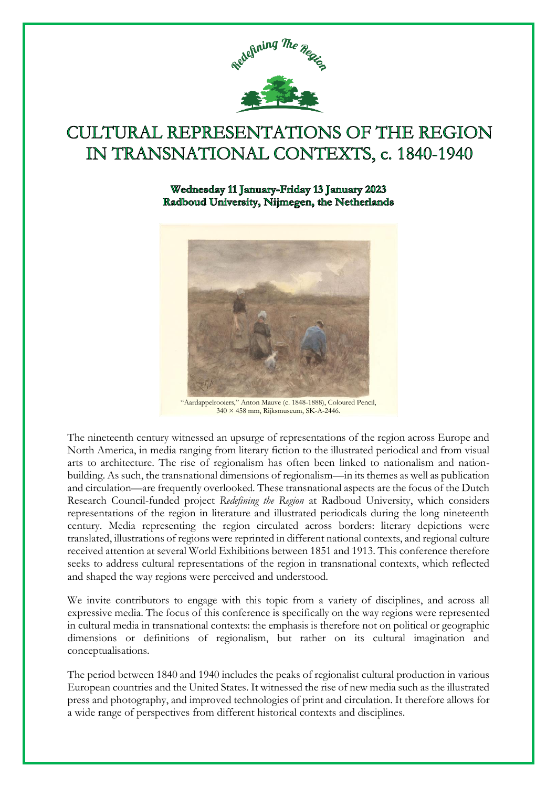

## **CULTURAL REPRESENTATIONS OF THE REGION** IN TRANSNATIONAL CONTEXTS, c. 1840-1940

## Wednesday 11 January-Friday 13 January 2023 Radboud University, Nijmegen, the Netherlands



"Aardappelrooiers," Anton Mauve (c. 1848-1888), Coloured Pencil, 340 × 458 mm, Rijksmuseum, SK-A-2446.

The nineteenth century witnessed an upsurge of representations of the region across Europe and North America, in media ranging from literary fiction to the illustrated periodical and from visual arts to architecture. The rise of regionalism has often been linked to nationalism and nationbuilding. As such, the transnational dimensions of regionalism—in its themes as well as publication and circulation—are frequently overlooked. These transnational aspects are the focus of the Dutch Research Council-funded project *Redefining the Region* at Radboud University, which considers representations of the region in literature and illustrated periodicals during the long nineteenth century. Media representing the region circulated across borders: literary depictions were translated, illustrations of regions were reprinted in different national contexts, and regional culture received attention at several World Exhibitions between 1851 and 1913. This conference therefore seeks to address cultural representations of the region in transnational contexts, which reflected and shaped the way regions were perceived and understood.

We invite contributors to engage with this topic from a variety of disciplines, and across all expressive media. The focus of this conference is specifically on the way regions were represented in cultural media in transnational contexts: the emphasis is therefore not on political or geographic dimensions or definitions of regionalism, but rather on its cultural imagination and conceptualisations.

The period between 1840 and 1940 includes the peaks of regionalist cultural production in various European countries and the United States. It witnessed the rise of new media such as the illustrated press and photography, and improved technologies of print and circulation. It therefore allows for a wide range of perspectives from different historical contexts and disciplines.